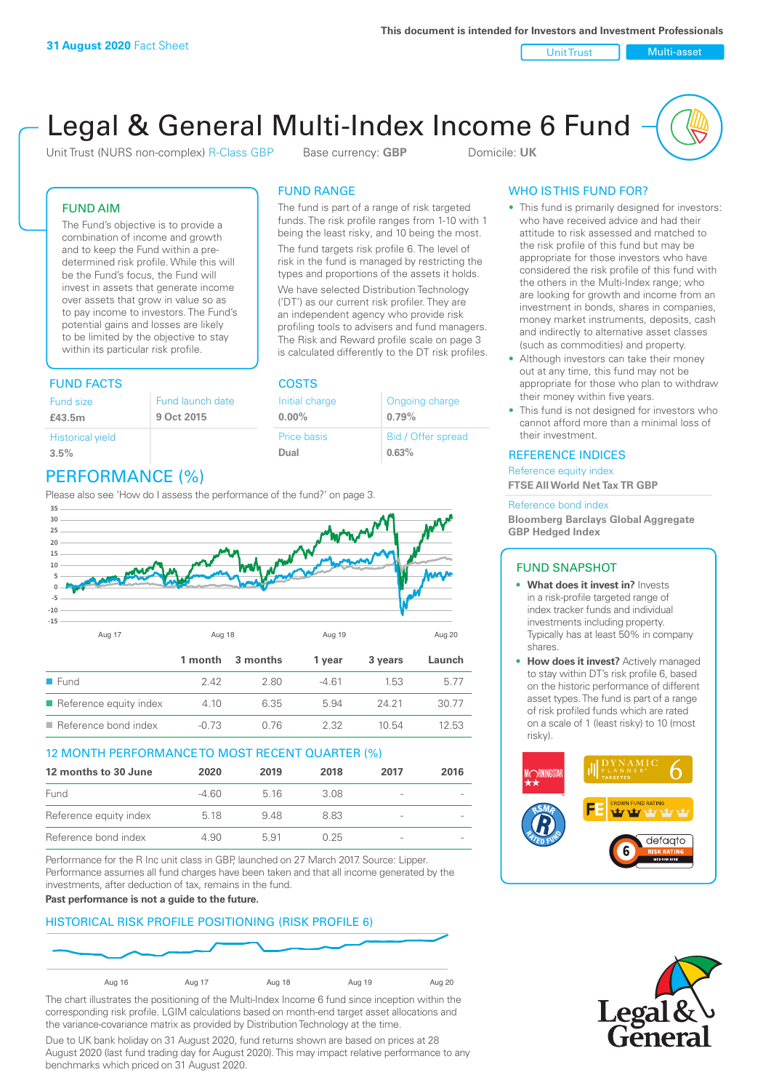Unit Trust Nulti-asset

# Legal & General Multi-Index Income 6 Fund

Unit Trust (NURS non-complex) R-Class GBP Base currency: **GBP** Domicile: UK

The fund is part of a range of risk targeted funds. The risk profile ranges from 1-10 with 1 being the least risky, and 10 being the most. The fund targets risk profile 6. The level of risk in the fund is managed by restricting the types and proportions of the assets it holds. We have selected Distribution Technology ('DT') as our current risk profiler. They are an independent agency who provide risk profiling tools to advisers and fund managers. The Risk and Reward profile scale on page 3 is calculated differently to the DT risk profiles.

> Ongoing charge **0.79%**

Bid / Offer spread

**0.63%**

FUND RANGE

Initial charge **0.00%**

Price basis **Dual**

### FUND AIM

The Fund's objective is to provide a combination of income and growth and to keep the Fund within a predetermined risk profile. While this will be the Fund's focus, the Fund will invest in assets that generate income over assets that grow in value so as to pay income to investors. The Fund's potential gains and losses are likely to be limited by the objective to stay within its particular risk profile.

### FUND FACTS COSTS

| Fund size<br>£43.5m     | Fund launch date<br>9 Oct 2015 |
|-------------------------|--------------------------------|
| <b>Historical yield</b> |                                |
| 3.5%                    |                                |

# PERFORMANCE (%)

Please also see 'How do I assess the performance of the fund?' on page 3.



### 12 MONTH PERFORMANCE TO MOST RECENT QUARTER (%)

| 12 months to 30 June   | 2020  | 2019 | 2018 | 2017                     | 2016 |
|------------------------|-------|------|------|--------------------------|------|
| Fund                   | -4.60 | 516  | 3.08 | $\overline{\phantom{a}}$ |      |
| Reference equity index | 5 18  | 948  | 883  | $\overline{\phantom{a}}$ |      |
| Reference bond index   | 4.90  | 591  | 0.25 | $\qquad \qquad$          |      |

Performance for the R Inc unit class in GBP, launched on 27 March 2017. Source: Lipper. Performance assumes all fund charges have been taken and that all income generated by the investments, after deduction of tax, remains in the fund.

**Past performance is not a guide to the future.**

### HISTORICAL RISK PROFILE POSITIONING (RISK PROFILE 6)



The chart illustrates the positioning of the Multi-Index Income 6 fund since inception within the corresponding risk profile. LGIM calculations based on month-end target asset allocations and the variance-covariance matrix as provided by Distribution Technology at the time.

Due to UK bank holiday on 31 August 2020, fund returns shown are based on prices at 28 August 2020 (last fund trading day for August 2020). This may impact relative performance to any benchmarks which priced on 31 August 2020.

### WHO IS THIS FUND FOR?

- This fund is primarily designed for investors: who have received advice and had their attitude to risk assessed and matched to the risk profile of this fund but may be appropriate for those investors who have considered the risk profile of this fund with the others in the Multi-Index range; who are looking for growth and income from an investment in bonds, shares in companies, money market instruments, deposits, cash and indirectly to alternative asset classes (such as commodities) and property.
- Although investors can take their money out at any time, this fund may not be appropriate for those who plan to withdraw their money within five years.
- This fund is not designed for investors who cannot afford more than a minimal loss of their investment.

### REFERENCE INDICES

Reference equity index **FTSE All World Net Tax TR GBP**

#### Reference bond index

**Bloomberg Barclays Global Aggregate GBP Hedged Index**

### FUND SNAPSHOT

- **• What does it invest in?** Invests in a risk-profile targeted range of index tracker funds and individual investments including property. Typically has at least 50% in company shares.
- **• How does it invest?** Actively managed to stay within DT's risk profile 6, based on the historic performance of different asset types. The fund is part of a range of risk profiled funds which are rated on a scale of 1 (least risky) to 10 (most risky).



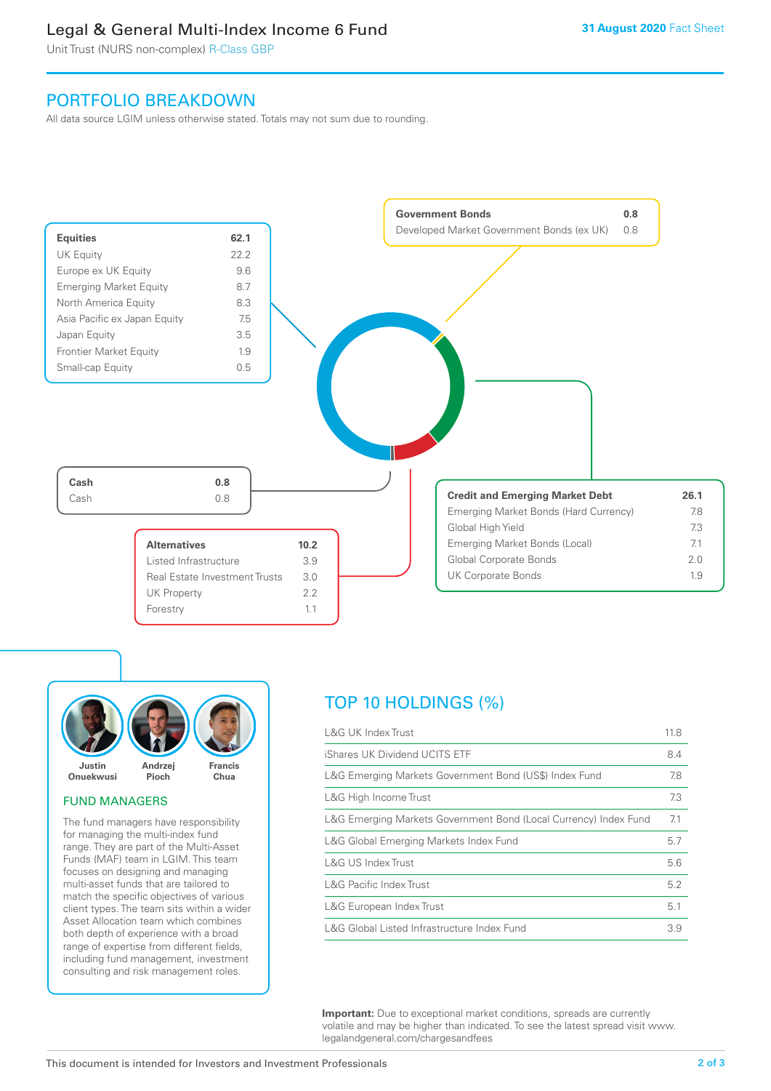## Legal & General Multi-Index Income 6 Fund

Unit Trust (NURS non-complex) R-Class GBP

### PORTFOLIO BREAKDOWN

All data source LGIM unless otherwise stated. Totals may not sum due to rounding.





### FUND MANAGERS

The fund managers have responsibility for managing the multi-index fund range. They are part of the Multi-Asset Funds (MAF) team in LGIM. This team focuses on designing and managing multi-asset funds that are tailored to match the specific objectives of various client types. The team sits within a wider Asset Allocation team which combines both depth of experience with a broad range of expertise from different fields, including fund management, investment consulting and risk management roles.

# TOP 10 HOLDINGS (%)

| <b>L&amp;G UK Index Trust</b>                                    | 11.8 |
|------------------------------------------------------------------|------|
| iShares UK Dividend UCITS ETF                                    | 8.4  |
| L&G Emerging Markets Government Bond (US\$) Index Fund           | 7.8  |
| L&G High Income Trust                                            | 7.3  |
| L&G Emerging Markets Government Bond (Local Currency) Index Fund | 7.1  |
| L&G Global Emerging Markets Index Fund                           | 5.7  |
| L&G US Index Trust                                               | 5.6  |
| <b>L&amp;G Pacific Index Trust</b>                               | 5.2  |
| L&G European Index Trust                                         | 5.1  |
| L&G Global Listed Infrastructure Index Fund                      | 3.9  |

**Important:** Due to exceptional market conditions, spreads are currently volatile and may be higher than indicated. To see the latest spread visit www. legalandgeneral.com/chargesandfees